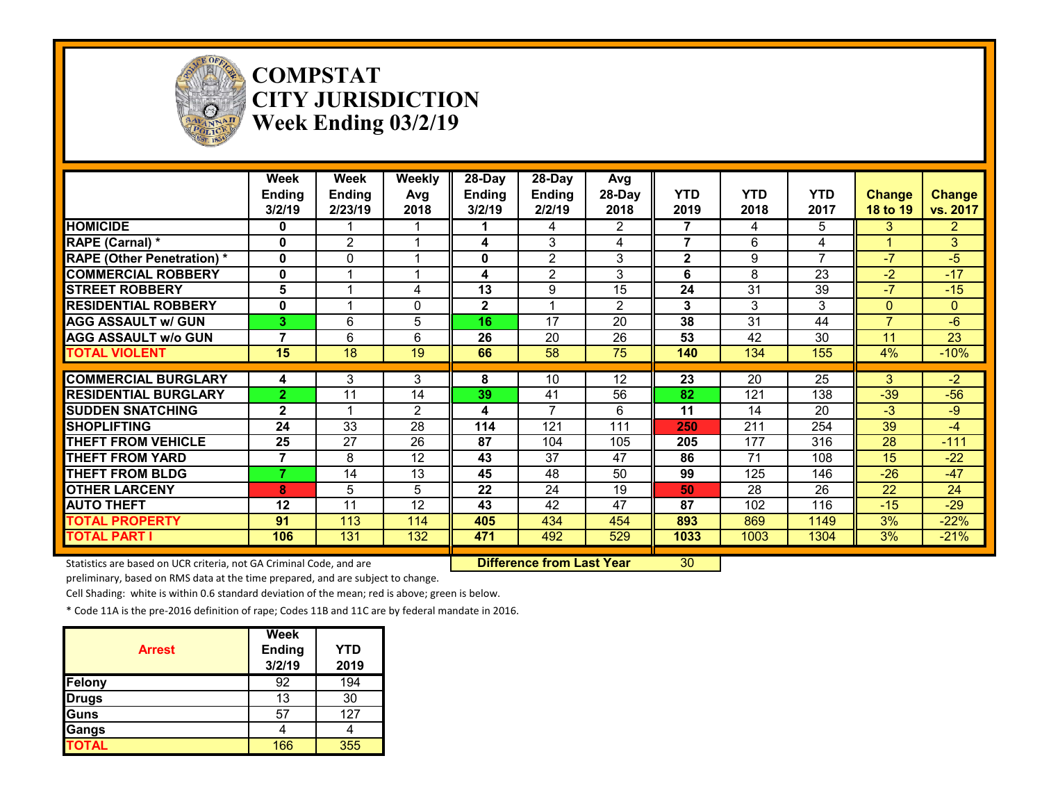

#### **COMPSTAT CITY JURISDICTION Week Ending 03/2/19**

|                                                                     | Week<br>Ending<br>3/2/19 | Week<br><b>Ending</b><br>2/23/19 | <b>Weekly</b><br>Avg<br>2018 | 28-Day<br><b>Ending</b><br>3/2/19 | 28-Day<br>Ending<br>2/2/19       | Avg<br>28-Day<br>2018 | <b>YTD</b><br>2019 | <b>YTD</b><br>2018 | <b>YTD</b><br>2017 | <b>Change</b><br>18 to 19 | <b>Change</b><br>vs. 2017 |
|---------------------------------------------------------------------|--------------------------|----------------------------------|------------------------------|-----------------------------------|----------------------------------|-----------------------|--------------------|--------------------|--------------------|---------------------------|---------------------------|
| <b>HOMICIDE</b>                                                     | 0                        |                                  |                              |                                   | 4                                | $\overline{2}$        | 7                  | 4                  | 5                  | 3                         | $\mathbf{2}$              |
| <b>RAPE (Carnal) *</b>                                              | 0                        | 2                                |                              | 4                                 | 3                                | 4                     | 7                  | 6                  | 4                  |                           | 3                         |
| <b>RAPE (Other Penetration)*</b>                                    | 0                        | 0                                |                              | 0                                 | $\overline{2}$                   | 3                     | 2                  | 9                  |                    | $-7$                      | $-5$                      |
| <b>COMMERCIAL ROBBERY</b>                                           | 0                        |                                  |                              | 4                                 | $\overline{2}$                   | 3                     | 6                  | 8                  | 23                 | $-2$                      | $-17$                     |
| <b>STREET ROBBERY</b>                                               | 5                        |                                  | 4                            | 13                                | 9                                | 15                    | 24                 | 31                 | 39                 | $-7$                      | $-15$                     |
| <b>RESIDENTIAL ROBBERY</b>                                          | $\mathbf{0}$             |                                  | $\Omega$                     | $\overline{2}$                    |                                  | $\overline{2}$        | 3                  | 3                  | 3                  | $\mathbf{0}$              | $\Omega$                  |
| <b>AGG ASSAULT w/ GUN</b>                                           | 3                        | 6                                | 5                            | 16                                | 17                               | 20                    | 38                 | 31                 | 44                 | $\overline{7}$            | $-6$                      |
| <b>AGG ASSAULT w/o GUN</b>                                          | 7                        | 6                                | 6                            | 26                                | $\overline{20}$                  | $\overline{26}$       | 53                 | $\overline{42}$    | $\overline{30}$    | 11                        | $\overline{23}$           |
| <b>TOTAL VIOLENT</b>                                                | 15                       | 18                               | $\overline{19}$              | 66                                | 58                               | 75                    | 140                | 134                | 155                | 4%                        | $-10%$                    |
| <b>COMMERCIAL BURGLARY</b>                                          | 4                        | 3                                | 3                            | 8                                 | 10                               | 12                    | 23                 | 20                 | 25                 | 3                         | $-2$                      |
| <b>RESIDENTIAL BURGLARY</b>                                         | 2.                       | 11                               | 14                           | 39                                | 41                               | 56                    | 82                 | 121                | 138                | $-39$                     | $-56$                     |
| <b>SUDDEN SNATCHING</b>                                             | $\mathbf{2}$             |                                  | 2                            | 4                                 | 7                                | 6                     | 11                 | 14                 | 20                 | $-3$                      | $-9$                      |
| <b>SHOPLIFTING</b>                                                  | 24                       | 33                               | 28                           | 114                               | 121                              | 111                   | 250                | 211                | 254                | 39                        | $-4$                      |
| <b>THEFT FROM VEHICLE</b>                                           | 25                       | 27                               | 26                           | 87                                | 104                              | 105                   | 205                | 177                | 316                | 28                        | $-111$                    |
| <b>THEFT FROM YARD</b>                                              | $\overline{7}$           | 8                                | 12                           | 43                                | 37                               | 47                    | 86                 | $\overline{71}$    | 108                | 15                        | $-22$                     |
| <b>THEFT FROM BLDG</b>                                              | 7                        | 14                               | 13                           | 45                                | 48                               | 50                    | 99                 | 125                | 146                | $-26$                     | $-47$                     |
| <b>OTHER LARCENY</b>                                                | 8                        | 5                                | 5                            | 22                                | 24                               | 19                    | 50                 | 28                 | 26                 | 22                        | 24                        |
| <b>AUTO THEFT</b>                                                   | 12                       | 11                               | $\overline{12}$              | 43                                | 42                               | 47                    | 87                 | 102                | 116                | $-15$                     | $-29$                     |
| <b>TOTAL PROPERTY</b>                                               | 91                       | 113                              | 114                          | 405                               | 434                              | 454                   | 893                | 869                | 1149               | 3%                        | $-22%$                    |
| <b>TOTAL PART I</b>                                                 | 106                      | 131                              | 132                          | 471                               | 492                              | 529                   | 1033               | 1003               | 1304               | 3%                        | $-21%$                    |
| Statistics are based on UCR criteria, not GA Criminal Code, and are |                          |                                  |                              |                                   | <b>Difference from Last Year</b> |                       | 30                 |                    |                    |                           |                           |

preliminary, based on RMS data at the time prepared, and are subject to change.

Cell Shading: white is within 0.6 standard deviation of the mean; red is above; green is below.

| <b>Arrest</b> | <b>Week</b><br>Ending<br>3/2/19 | <b>YTD</b><br>2019 |
|---------------|---------------------------------|--------------------|
| Felony        | 92                              | 194                |
| <b>Drugs</b>  | 13                              | 30                 |
| Guns          | 57                              | 127                |
| Gangs         |                                 |                    |
| <b>TOTAL</b>  | 166                             | 355                |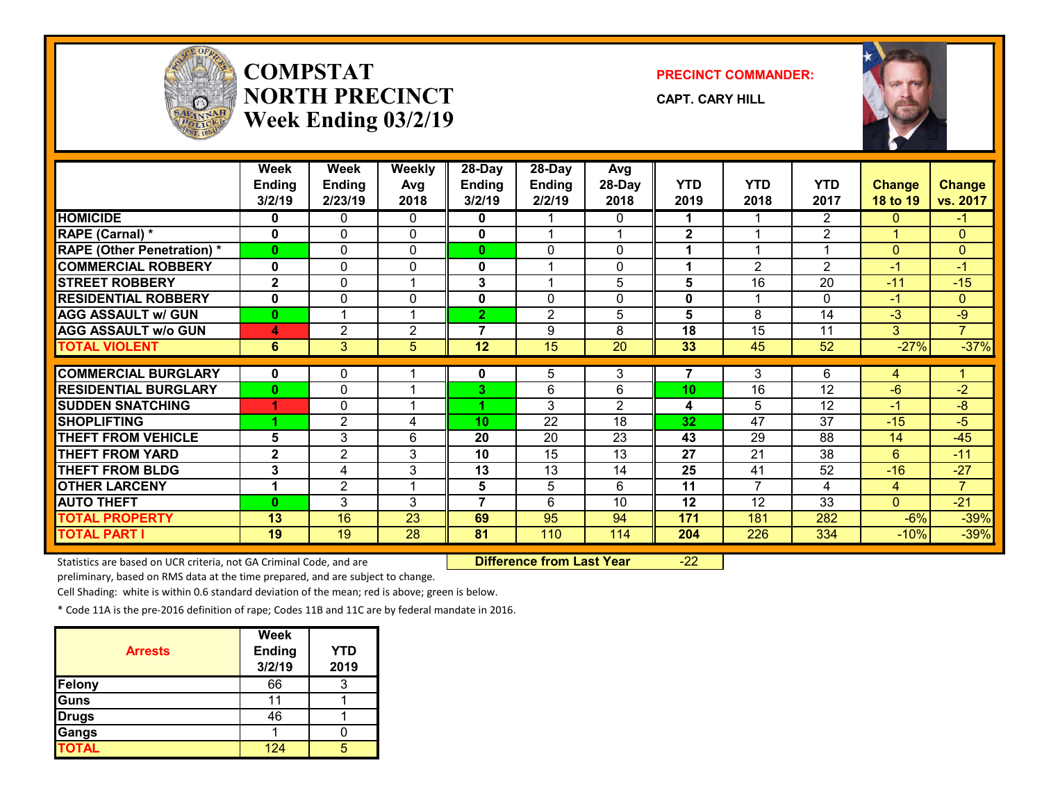

# **COMPSTATNORTH PRECINCTWeek Ending 03/2/19**

**PRECINCT COMMANDER:**

**CAPT. CARY HILL**



|                                   | Week<br><b>Ending</b><br>3/2/19 | Week<br><b>Ending</b><br>2/23/19 | Weekly<br>Avg<br>2018 | 28-Day<br><b>Ending</b><br>3/2/19 | 28-Day<br><b>Ending</b><br>2/2/19 | Avg<br>28-Day<br>2018 | <b>YTD</b><br>2019 | <b>YTD</b><br>2018 | <b>YTD</b><br>2017      | <b>Change</b><br>18 to 19 | <b>Change</b><br>vs. 2017 |
|-----------------------------------|---------------------------------|----------------------------------|-----------------------|-----------------------------------|-----------------------------------|-----------------------|--------------------|--------------------|-------------------------|---------------------------|---------------------------|
| <b>HOMICIDE</b>                   | 0                               | 0                                | $\Omega$              | 0                                 |                                   | 0                     |                    |                    | $\overline{2}$          | $\Omega$                  | -1                        |
| RAPE (Carnal) *                   | 0                               | $\Omega$                         | $\mathbf{0}$          | 0                                 | 4                                 |                       | $\mathbf{2}$       |                    | $\overline{2}$          |                           | $\Omega$                  |
| <b>RAPE (Other Penetration) *</b> | $\mathbf{0}$                    | 0                                | $\mathbf{0}$          | $\mathbf{0}$                      | $\Omega$                          | 0                     | 1                  |                    | $\overline{\mathbf{A}}$ | $\Omega$                  | $\mathbf{0}$              |
| <b>COMMERCIAL ROBBERY</b>         | $\mathbf{0}$                    | 0                                | $\mathbf{0}$          | 0                                 | -1                                | 0                     | 1                  | $\overline{2}$     | $\overline{2}$          | $-1$                      | $-1$                      |
| <b>STREET ROBBERY</b>             | $\overline{2}$                  | 0                                | 1                     | 3                                 | $\overline{\mathbf{A}}$           | 5                     | 5                  | 16                 | 20                      | $-11$                     | $-15$                     |
| <b>RESIDENTIAL ROBBERY</b>        | $\mathbf{0}$                    | 0                                | $\Omega$              | 0                                 | $\Omega$                          | 0                     | $\mathbf 0$        |                    | $\Omega$                | $-1$                      | $\Omega$                  |
| <b>AGG ASSAULT w/ GUN</b>         | $\mathbf{0}$                    |                                  | 1                     | $\overline{2}$                    | $\overline{2}$                    | 5                     | 5                  | 8                  | 14                      | $-3$                      | $-9$                      |
| <b>AGG ASSAULT w/o GUN</b>        | 4                               | $\overline{2}$                   | $\overline{2}$        | $\overline{7}$                    | 9                                 | 8                     | 18                 | 15                 | 11                      | 3 <sup>1</sup>            | $\overline{7}$            |
| <b>TOTAL VIOLENT</b>              | 6                               | 3                                | 5                     | 12                                | 15                                | $\overline{20}$       | 33                 | 45                 | 52                      | $-27%$                    | $-37%$                    |
|                                   |                                 |                                  |                       |                                   |                                   |                       |                    |                    |                         |                           |                           |
| <b>COMMERCIAL BURGLARY</b>        | $\mathbf 0$                     | 0                                |                       | 0                                 | 5                                 | 3                     | 7                  | 3                  | 6                       | 4                         |                           |
| <b>RESIDENTIAL BURGLARY</b>       | $\bf{0}$                        | $\Omega$                         |                       | 3.                                | 6                                 | 6                     | 10                 | 16                 | 12                      | -6                        | $-2$                      |
| <b>ISUDDEN SNATCHING</b>          | 1                               | $\Omega$                         | $\overline{A}$        |                                   | 3                                 | $\overline{2}$        | 4                  | 5                  | 12                      | $-1$                      | -8                        |
| <b>SHOPLIFTING</b>                |                                 | 2                                | 4                     | 10                                | $\overline{22}$                   | 18                    | 32                 | 47                 | 37                      | $-15$                     | -5                        |
| <b>THEFT FROM VEHICLE</b>         | 5                               | 3                                | 6                     | 20                                | 20                                | 23                    | 43                 | 29                 | 88                      | 14                        | $-45$                     |
| <b>THEFT FROM YARD</b>            | $\mathbf{2}$                    | 2                                | 3                     | 10                                | 15                                | 13                    | 27                 | 21                 | 38                      | 6                         | $-11$                     |
| <b>THEFT FROM BLDG</b>            | 3                               | 4                                | 3                     | 13                                | 13                                | 14                    | 25                 | 41                 | 52                      | $-16$                     | $-27$                     |
| <b>OTHER LARCENY</b>              | $\blacktriangleleft$            | $\overline{2}$                   |                       | 5                                 | 5                                 | 6                     | 11                 | $\overline{ }$     | $\overline{\mathbf{4}}$ | 4                         | $\overline{7}$            |
| <b>AUTO THEFT</b>                 | $\bf{0}$                        | 3                                | 3                     | 7                                 | 6                                 | 10                    | 12                 | 12                 | 33                      | $\Omega$                  | $-21$                     |
| <b>TOTAL PROPERTY</b>             | 13                              | 16                               | 23                    | 69                                | 95                                | 94                    | 171                | 181                | 282                     | $-6%$                     | $-39%$                    |
| <b>TOTAL PART I</b>               | 19                              | 19                               | 28                    | 81                                | 110                               | 114                   | 204                | 226                | 334                     | $-10%$                    | $-39%$                    |

Statistics are based on UCR criteria, not GA Criminal Code, and are **Difference from Last Year** -22

preliminary, based on RMS data at the time prepared, and are subject to change.

Cell Shading: white is within 0.6 standard deviation of the mean; red is above; green is below.

| <b>Arrests</b> | <b>Week</b><br><b>Ending</b><br>3/2/19 | YTD<br>2019 |
|----------------|----------------------------------------|-------------|
| <b>Felony</b>  | 66                                     |             |
| <b>Guns</b>    |                                        |             |
| <b>Drugs</b>   | 46                                     |             |
| Gangs          |                                        |             |
| <b>TOTAL</b>   | 124                                    |             |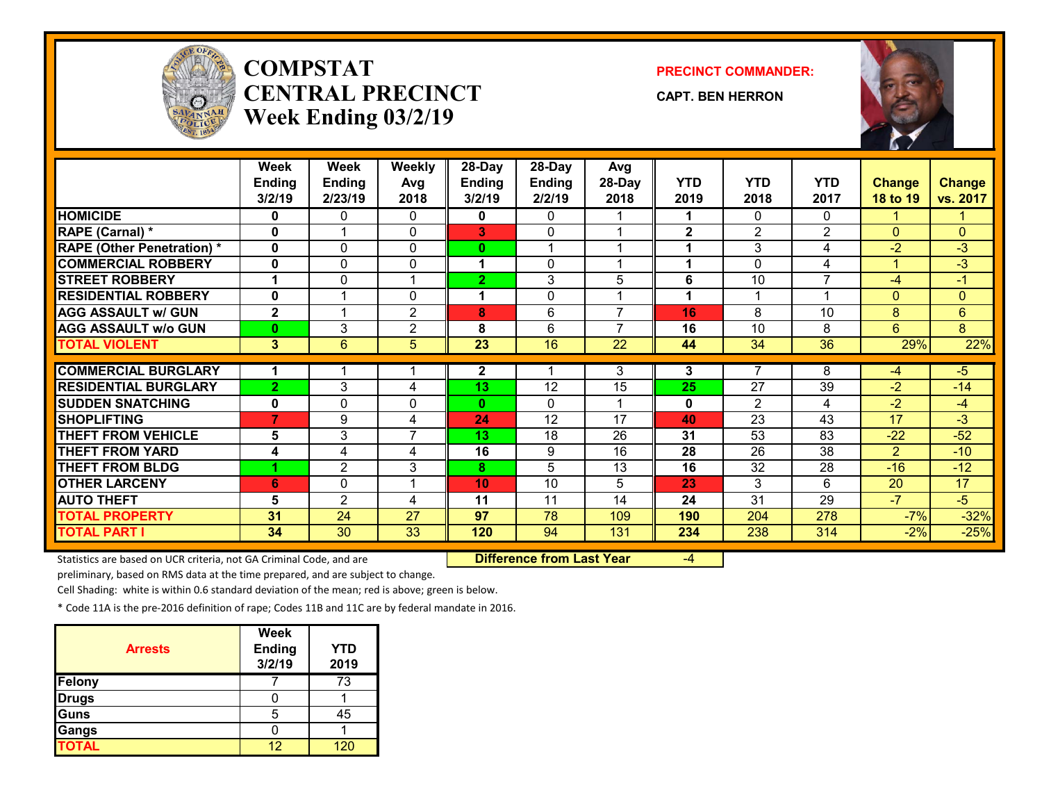

# **COMPSTATCENTRAL PRECINCTWeek Ending 03/2/19**

**PRECINCT COMMANDER:**

**CAPT. BEN HERRON**



|                                   | Week<br><b>Ending</b><br>3/2/19 | Week<br><b>Ending</b><br>2/23/19 | <b>Weekly</b><br>Avg<br>2018 | 28-Day<br><b>Ending</b><br>3/2/19 | 28-Day<br><b>Ending</b><br>2/2/19 | Avg<br>28-Day<br>2018 | <b>YTD</b><br>2019 | <b>YTD</b><br>2018 | <b>YTD</b><br>2017 | <b>Change</b><br><b>18 to 19</b> | <b>Change</b><br>vs. 2017 |
|-----------------------------------|---------------------------------|----------------------------------|------------------------------|-----------------------------------|-----------------------------------|-----------------------|--------------------|--------------------|--------------------|----------------------------------|---------------------------|
| <b>HOMICIDE</b>                   |                                 |                                  |                              |                                   | $\Omega$                          |                       |                    |                    | 0                  |                                  |                           |
|                                   | 0                               | 0<br>4                           | 0                            | 0                                 |                                   |                       | 1                  | 0                  |                    |                                  |                           |
| RAPE (Carnal) *                   | 0                               |                                  | $\mathbf{0}$                 | 3                                 | $\Omega$                          |                       | $\mathbf{2}$       | $\overline{2}$     | $\overline{2}$     | $\Omega$                         | $\mathbf{0}$              |
| <b>RAPE (Other Penetration)</b> * | $\mathbf 0$                     | 0                                | $\mathbf{0}$                 | 0                                 | 1                                 |                       | 1                  | 3                  | 4                  | $-2$                             | $-3$                      |
| <b>COMMERCIAL ROBBERY</b>         | $\mathbf{0}$                    | 0                                | 0                            | 1                                 | $\mathbf{0}$                      | 4                     | 1                  | 0                  | 4                  | 1                                | $-3$                      |
| <b>STREET ROBBERY</b>             |                                 | 0                                |                              | $\overline{2}$                    | 3                                 | 5                     | 6                  | 10                 | $\overline{7}$     | $-4$                             | $-1$                      |
| <b>RESIDENTIAL ROBBERY</b>        | $\mathbf{0}$                    |                                  | $\Omega$                     | 1                                 | $\mathbf 0$                       |                       | 1                  | 1                  | $\overline{1}$     | $\Omega$                         | $\overline{0}$            |
| <b>AGG ASSAULT W/ GUN</b>         | $\overline{2}$                  |                                  | $\overline{2}$               | 8                                 | 6                                 | $\overline{7}$        | 16                 | 8                  | 10                 | 8                                | $6\overline{6}$           |
| <b>AGG ASSAULT w/o GUN</b>        | $\bf{0}$                        | 3                                | $\overline{2}$               | 8                                 | 6                                 | 7                     | 16                 | 10                 | 8                  | 6                                | 8                         |
| <b>TOTAL VIOLENT</b>              | 3                               | 6                                | 5                            | $\overline{23}$                   | $\overline{16}$                   | $\overline{22}$       | 44                 | 34                 | $\overline{36}$    | 29%                              | 22%                       |
|                                   |                                 |                                  |                              |                                   |                                   |                       |                    |                    |                    |                                  |                           |
| <b>COMMERCIAL BURGLARY</b>        | 1                               |                                  |                              | $\mathbf{2}$                      | 1                                 | 3                     | 3                  | $\overline{7}$     | 8                  | $-4$                             | $-5$                      |
| <b>RESIDENTIAL BURGLARY</b>       | $\overline{2}$                  | 3                                | 4                            | 13                                | 12                                | 15                    | 25                 | 27                 | 39                 | $-2$                             | $-14$                     |
| <b>SUDDEN SNATCHING</b>           | 0                               | 0                                | $\Omega$                     | $\mathbf{0}$                      | $\Omega$                          |                       | $\mathbf 0$        | $\overline{2}$     | 4                  | $-2$                             | $-4$                      |
| <b>SHOPLIFTING</b>                | $\overline{7}$                  | 9                                | 4                            | 24                                | 12                                | 17                    | 40                 | 23                 | 43                 | 17                               | $-3$                      |
| <b>THEFT FROM VEHICLE</b>         | 5                               | 3                                | $\overline{7}$               | 13                                | 18                                | 26                    | 31                 | 53                 | 83                 | $-22$                            | $-52$                     |
| <b>THEFT FROM YARD</b>            | 4                               | 4                                | 4                            | 16                                | 9                                 | 16                    | 28                 | 26                 | 38                 | $\overline{2}$                   | $-10$                     |
| <b>THEFT FROM BLDG</b>            |                                 | 2                                | 3                            | 8                                 | 5                                 | 13                    | 16                 | 32                 | 28                 | $-16$                            | $-12$                     |
| <b>OTHER LARCENY</b>              | 6                               | $\Omega$                         |                              | 10                                | 10                                | 5                     | 23                 | 3                  | 6                  | 20                               | 17                        |
| <b>AUTO THEFT</b>                 | 5                               | $\overline{2}$                   | 4                            | 11                                | 11                                | 14                    | 24                 | 31                 | 29                 | $-7$                             | $-5$                      |
| <b>TOTAL PROPERTY</b>             | 31                              | 24                               | 27                           | 97                                | 78                                | 109                   | 190                | 204                | 278                | $-7%$                            | $-32%$                    |
| <b>TOTAL PART I</b>               | 34                              | 30                               | 33                           | 120                               | 94                                | 131                   | 234                | 238                | 314                | $-2%$                            | $-25%$                    |

Statistics are based on UCR criteria, not GA Criminal Code, and are **Difference from Last Year** -4

preliminary, based on RMS data at the time prepared, and are subject to change.

Cell Shading: white is within 0.6 standard deviation of the mean; red is above; green is below.

| <b>Arrests</b> | <b>Week</b><br><b>Ending</b><br>3/2/19 | <b>YTD</b><br>2019 |
|----------------|----------------------------------------|--------------------|
| Felony         |                                        | 73                 |
| <b>Drugs</b>   |                                        |                    |
| Guns           | 5                                      | 45                 |
| Gangs          |                                        |                    |
| <b>TOTAL</b>   | イウ                                     |                    |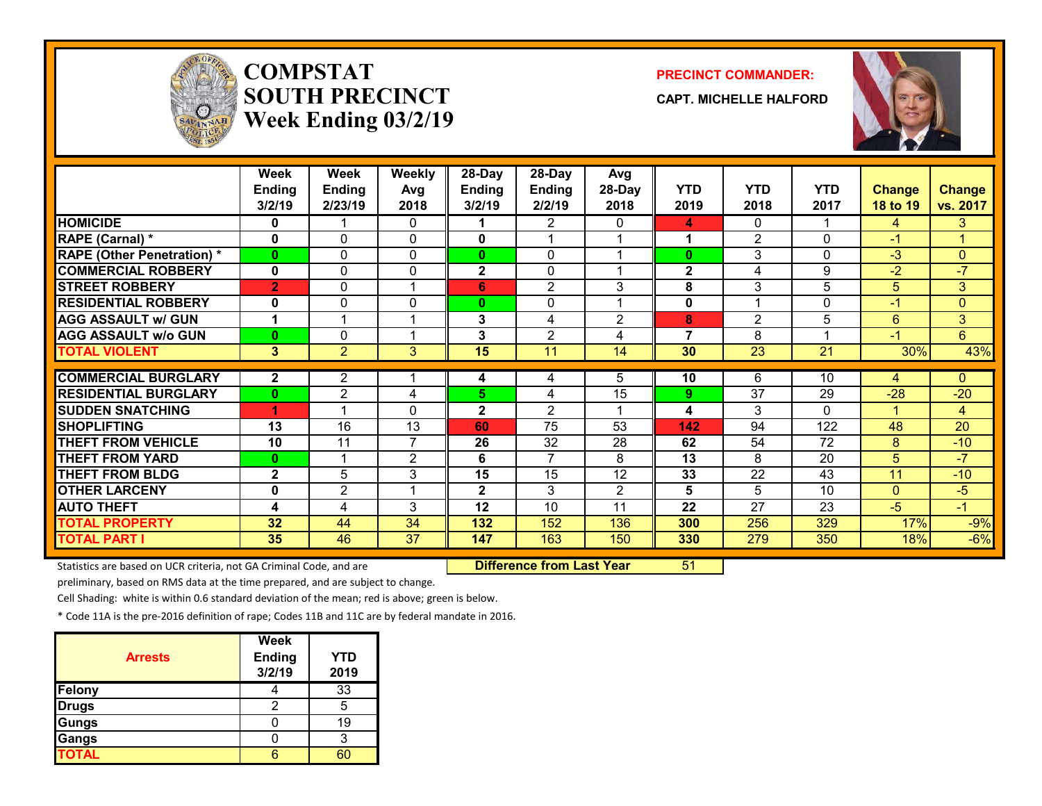

# **COMPSTATSOUTH PRECINCTWeek Ending 03/2/19**

#### **PRECINCT COMMANDER:**

**CAPT. MICHELLE HALFORD**



|                                   | <b>Week</b>    | Week           | <b>Weekly</b>  | 28-Day        | 28-Day         | Avg            |                |                 |                         |                |                |
|-----------------------------------|----------------|----------------|----------------|---------------|----------------|----------------|----------------|-----------------|-------------------------|----------------|----------------|
|                                   | Ending         | <b>Ending</b>  | Avg            | <b>Ending</b> | <b>Ending</b>  | 28-Day         | <b>YTD</b>     | <b>YTD</b>      | <b>YTD</b>              | <b>Change</b>  | <b>Change</b>  |
|                                   | 3/2/19         | 2/23/19        | 2018           | 3/2/19        | 2/2/19         | 2018           | 2019           | 2018            | 2017                    | 18 to 19       | vs. 2017       |
| <b>HOMICIDE</b>                   | 0              |                | 0              |               | 2              | 0              | 4              | $\Omega$        |                         | 4              | 3              |
| RAPE (Carnal) *                   | 0              | 0              | $\mathbf{0}$   | 0             |                |                |                | $\overline{2}$  | $\Omega$                | -1             | 1              |
| <b>RAPE (Other Penetration) *</b> | 0              | 0              | $\Omega$       | 0             | 0              |                | $\bf{0}$       | 3               | 0                       | $-3$           | $\overline{0}$ |
| <b>COMMERCIAL ROBBERY</b>         | 0              | 0              | $\Omega$       | $\mathbf{2}$  | $\mathbf{0}$   |                | $\mathbf 2$    | 4               | 9                       | $-2$           | $-7$           |
| <b>STREET ROBBERY</b>             | $\overline{2}$ | 0              | 1              | 6             | $\overline{2}$ | 3              | 8              | 3               | 5                       | 5 <sup>5</sup> | 3              |
| <b>RESIDENTIAL ROBBERY</b>        | 0              | 0              | 0              | $\mathbf{0}$  | 0              |                | 0              |                 | $\Omega$                | $-1$           | $\overline{0}$ |
| <b>AGG ASSAULT w/ GUN</b>         | 1              | 1              | 1              | 3             | 4              | $\mathbf{2}$   | 8              | $\overline{2}$  | 5                       | 6              | 3              |
| <b>AGG ASSAULT W/o GUN</b>        | 0              | 0              | 1              | 3             | $\overline{2}$ | 4              | $\overline{7}$ | 8               | $\overline{\mathbf{A}}$ | $-1$           | 6              |
| <b>TOTAL VIOLENT</b>              | 3              | $\overline{2}$ | 3              | 15            | 11             | 14             | 30             | $\overline{23}$ | $\overline{21}$         | 30%            | 43%            |
|                                   |                |                |                |               |                |                |                |                 |                         |                |                |
| <b>COMMERCIAL BURGLARY</b>        | 2              | 2              |                | 4             | 4              | 5              | 10             | 6               | 10                      | 4              | $\mathbf{0}$   |
| <b>RESIDENTIAL BURGLARY</b>       | 0              | $\overline{2}$ | 4              | 5             | 4              | 15             | 9              | $\overline{37}$ | 29                      | $-28$          | $-20$          |
| <b>SUDDEN SNATCHING</b>           | 4              |                | $\Omega$       | $\mathbf{2}$  | $\overline{2}$ |                | 4              | 3               | $\Omega$                |                | $\overline{4}$ |
| <b>SHOPLIFTING</b>                | 13             | 16             | 13             | 60            | 75             | 53             | 142            | 94              | 122                     | 48             | 20             |
| <b>THEFT FROM VEHICLE</b>         | 10             | 11             | $\overline{7}$ | 26            | 32             | 28             | 62             | 54              | 72                      | 8              | $-10$          |
| <b>THEFT FROM YARD</b>            | $\bf{0}$       | 4              | $\overline{2}$ | 6             | $\overline{ }$ | 8              | 13             | 8               | 20                      | 5              | $-7$           |
| <b>THEFT FROM BLDG</b>            | $\mathbf{2}$   | 5              | 3              | 15            | 15             | 12             | 33             | $\overline{22}$ | 43                      | 11             | $-10$          |
| <b>OTHER LARCENY</b>              | 0              | $\overline{2}$ | 1              | $\mathbf{2}$  | 3              | $\overline{2}$ | 5              | 5               | 10                      | $\Omega$       | $-5$           |
| <b>AUTO THEFT</b>                 | 4              | 4              | 3              | 12            | 10             | 11             | 22             | 27              | 23                      | $-5$           | $-1$           |
| <b>TOTAL PROPERTY</b>             | 32             | 44             | 34             | 132           | 152            | 136            | 300            | 256             | 329                     | 17%            | $-9%$          |
| <b>TOTAL PART I</b>               | 35             | 46             | 37             | 147           | 163            | 150            | 330            | 279             | 350                     | 18%            | $-6%$          |

Statistics are based on UCR criteria, not GA Criminal Code, and are **Difference from Last Year** 51

preliminary, based on RMS data at the time prepared, and are subject to change.

Cell Shading: white is within 0.6 standard deviation of the mean; red is above; green is below.

| <b>Arrests</b> | <b>Week</b><br><b>Ending</b><br>3/2/19 | <b>YTD</b><br>2019 |
|----------------|----------------------------------------|--------------------|
| Felony         |                                        | 33                 |
| <b>Drugs</b>   |                                        | 5                  |
| Gungs          |                                        | 19                 |
| Gangs          |                                        | 3                  |
| <b>TOTAL</b>   |                                        |                    |